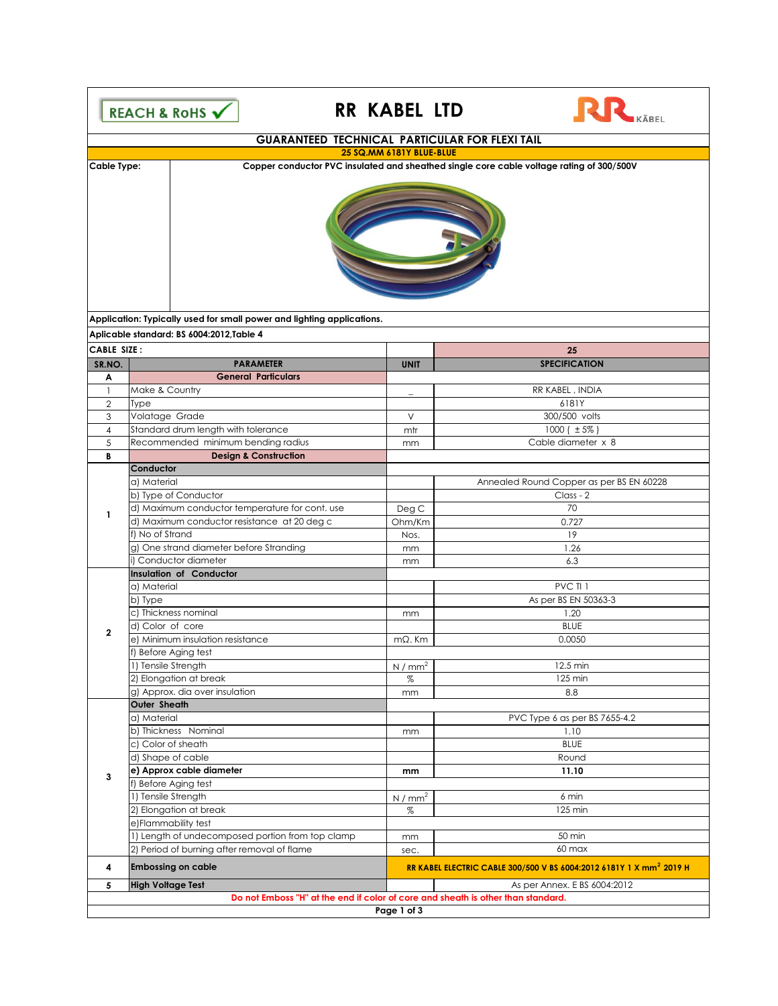

## **RR KABEL LTD**



|                                                                        | <b>GUARANTEED TECHNICAL PARTICULAR FOR FLEXI TAIL</b>                            |                   |                                                                                          |  |  |  |  |
|------------------------------------------------------------------------|----------------------------------------------------------------------------------|-------------------|------------------------------------------------------------------------------------------|--|--|--|--|
| 25 SQ.MM 6181Y BLUE-BLUE                                               |                                                                                  |                   |                                                                                          |  |  |  |  |
| Cable Type:                                                            |                                                                                  |                   | Copper conductor PVC insulated and sheathed single core cable voltage rating of 300/500V |  |  |  |  |
| Application: Typically used for small power and lighting applications. |                                                                                  |                   |                                                                                          |  |  |  |  |
|                                                                        | Aplicable standard: BS 6004:2012, Table 4                                        |                   |                                                                                          |  |  |  |  |
| CABLE SIZE:                                                            |                                                                                  |                   | 25                                                                                       |  |  |  |  |
| SR.NO.                                                                 | <b>PARAMETER</b><br><b>General Particulars</b>                                   | <b>UNIT</b>       | <b>SPECIFICATION</b>                                                                     |  |  |  |  |
| Α<br>$\mathbf{1}$                                                      | Make & Country                                                                   |                   | RR KABEL, INDIA                                                                          |  |  |  |  |
| $\overline{2}$                                                         | Type                                                                             |                   | 6181Y                                                                                    |  |  |  |  |
| 3                                                                      | Volatage Grade                                                                   | V                 | 300/500 volts                                                                            |  |  |  |  |
| 4                                                                      | Standard drum length with tolerance                                              | mtr               | 1000 ( $\pm 5\%$ )                                                                       |  |  |  |  |
| 5                                                                      | Recommended minimum bending radius                                               | mm                | Cable diameter x 8                                                                       |  |  |  |  |
| В                                                                      | <b>Design &amp; Construction</b>                                                 |                   |                                                                                          |  |  |  |  |
|                                                                        | Conductor                                                                        |                   |                                                                                          |  |  |  |  |
|                                                                        | a) Material                                                                      |                   | Annealed Round Copper as per BS EN 60228                                                 |  |  |  |  |
|                                                                        | b) Type of Conductor                                                             |                   | Class - 2                                                                                |  |  |  |  |
|                                                                        |                                                                                  |                   | 70                                                                                       |  |  |  |  |
| $\mathbf{1}$                                                           | d) Maximum conductor temperature for cont. use                                   | Deg C             |                                                                                          |  |  |  |  |
|                                                                        | d) Maximum conductor resistance at 20 deg c                                      | Ohm/Km            | 0.727                                                                                    |  |  |  |  |
|                                                                        | f) No of Strand                                                                  | Nos.              | 19                                                                                       |  |  |  |  |
|                                                                        | g) One strand diameter before Stranding                                          | mm                | 1.26                                                                                     |  |  |  |  |
|                                                                        | i) Conductor diameter                                                            | mm                | 6.3                                                                                      |  |  |  |  |
|                                                                        | Insulation of Conductor                                                          |                   |                                                                                          |  |  |  |  |
|                                                                        | a) Material                                                                      |                   | PVC TI 1                                                                                 |  |  |  |  |
|                                                                        | b) Type                                                                          |                   | As per BS EN 50363-3                                                                     |  |  |  |  |
|                                                                        | c) Thickness nominal                                                             | mm                | 1.20                                                                                     |  |  |  |  |
| $\overline{2}$                                                         | d) Color of core                                                                 |                   | <b>BLUE</b>                                                                              |  |  |  |  |
|                                                                        | e) Minimum insulation resistance                                                 | $m\Omega$ . Km    | 0.0050                                                                                   |  |  |  |  |
|                                                                        | f) Before Aging test                                                             |                   |                                                                                          |  |  |  |  |
|                                                                        | 1) Tensile Strength                                                              | N/mm <sup>2</sup> | 12.5 min                                                                                 |  |  |  |  |
|                                                                        | 2) Elongation at break                                                           | %                 | 125 min                                                                                  |  |  |  |  |
|                                                                        | g) Approx. dia over insulation                                                   | mm                | 8.8                                                                                      |  |  |  |  |
|                                                                        | Outer Sheath                                                                     |                   |                                                                                          |  |  |  |  |
|                                                                        | a) Material                                                                      |                   | PVC Type 6 as per BS 7655-4.2                                                            |  |  |  |  |
|                                                                        | b) Thickness Nominal                                                             | mm                | 1.10                                                                                     |  |  |  |  |
|                                                                        | c) Color of sheath                                                               |                   | <b>BLUE</b>                                                                              |  |  |  |  |
|                                                                        | d) Shape of cable                                                                |                   | Round                                                                                    |  |  |  |  |
| 3                                                                      | e) Approx cable diameter                                                         | mm                | 11.10                                                                                    |  |  |  |  |
|                                                                        | f) Before Aging test                                                             |                   |                                                                                          |  |  |  |  |
|                                                                        | 1) Tensile Strength                                                              | N/mm <sup>2</sup> | 6 min                                                                                    |  |  |  |  |
|                                                                        | 2) Elongation at break                                                           | %                 | 125 min                                                                                  |  |  |  |  |
|                                                                        | e)Flammability test                                                              |                   |                                                                                          |  |  |  |  |
|                                                                        | 1) Length of undecomposed portion from top clamp                                 | mm                | 50 min                                                                                   |  |  |  |  |
|                                                                        | 2) Period of burning after removal of flame                                      | sec.              | 60 max                                                                                   |  |  |  |  |
| 4                                                                      | <b>Embossing on cable</b>                                                        |                   | RR KABEL ELECTRIC CABLE 300/500 V BS 6004:2012 6181Y 1 X mm <sup>2</sup> 2019 H          |  |  |  |  |
| 5                                                                      | <b>High Voltage Test</b>                                                         |                   | As per Annex. E BS 6004:2012                                                             |  |  |  |  |
|                                                                        | Do not Emboss "H" at the end if color of core and sheath is other than standard. |                   |                                                                                          |  |  |  |  |
| Page 1 of 3                                                            |                                                                                  |                   |                                                                                          |  |  |  |  |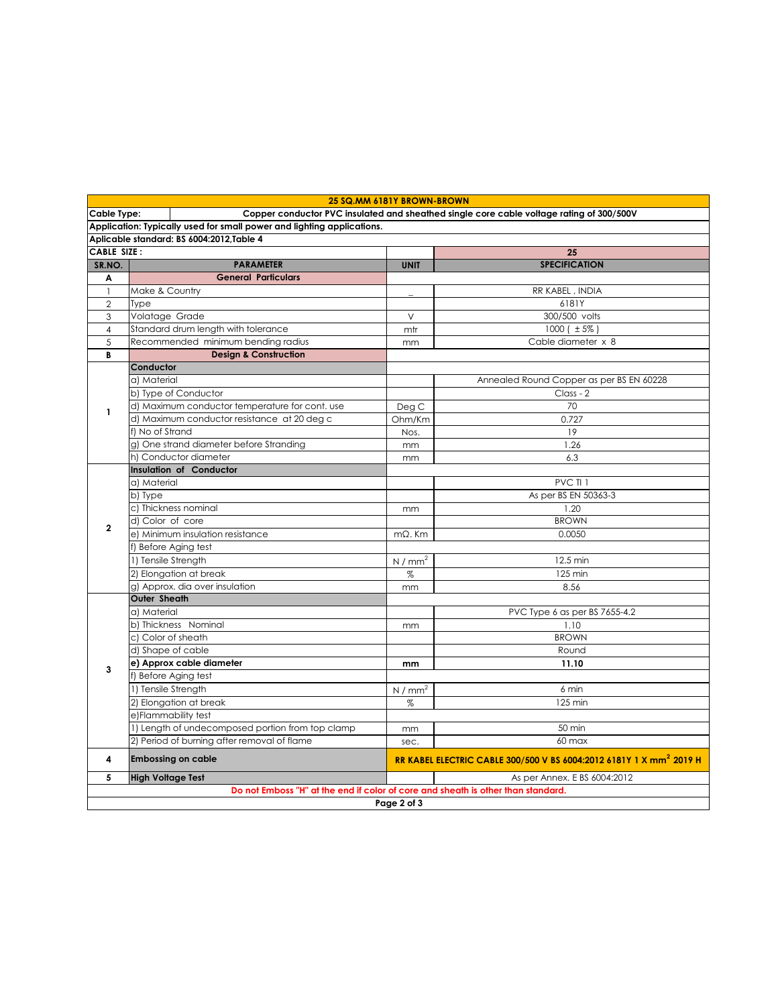|                                                                                                                | 25 SQ.MM 6181Y BROWN-BROWN                               |                   |                                                                                 |  |  |  |  |
|----------------------------------------------------------------------------------------------------------------|----------------------------------------------------------|-------------------|---------------------------------------------------------------------------------|--|--|--|--|
| Copper conductor PVC insulated and sheathed single core cable voltage rating of 300/500V<br><b>Cable Type:</b> |                                                          |                   |                                                                                 |  |  |  |  |
| Application: Typically used for small power and lighting applications.                                         |                                                          |                   |                                                                                 |  |  |  |  |
| Aplicable standard: BS 6004:2012, Table 4                                                                      |                                                          |                   |                                                                                 |  |  |  |  |
| <b>CABLE SIZE:</b>                                                                                             |                                                          |                   | 25                                                                              |  |  |  |  |
| SR.NO.                                                                                                         | <b>PARAMETER</b>                                         | <b>UNIT</b>       | <b>SPECIFICATION</b>                                                            |  |  |  |  |
| A                                                                                                              | <b>General Particulars</b>                               |                   |                                                                                 |  |  |  |  |
| $\overline{1}$                                                                                                 | Make & Country                                           |                   | RR KABEL, INDIA                                                                 |  |  |  |  |
| $\overline{2}$                                                                                                 | Type                                                     |                   | 6181Y                                                                           |  |  |  |  |
| 3                                                                                                              | Volatage Grade                                           | $\vee$            | 300/500 volts                                                                   |  |  |  |  |
| $\overline{4}$                                                                                                 | Standard drum length with tolerance                      | mtr               | 1000 ( $\pm$ 5%)                                                                |  |  |  |  |
| 5                                                                                                              | Recommended minimum bending radius                       | mm                | Cable diameter x 8                                                              |  |  |  |  |
| B                                                                                                              | <b>Design &amp; Construction</b>                         |                   |                                                                                 |  |  |  |  |
|                                                                                                                | Conductor                                                |                   |                                                                                 |  |  |  |  |
|                                                                                                                | a) Material                                              |                   | Annealed Round Copper as per BS EN 60228                                        |  |  |  |  |
|                                                                                                                | b) Type of Conductor                                     |                   | Class - 2                                                                       |  |  |  |  |
| $\mathbf{1}$                                                                                                   | d) Maximum conductor temperature for cont. use           | Deg C             | 70                                                                              |  |  |  |  |
|                                                                                                                | d) Maximum conductor resistance at 20 deg c              | Ohm/Km            | 0.727                                                                           |  |  |  |  |
|                                                                                                                | f) No of Strand                                          | Nos.              | 19                                                                              |  |  |  |  |
|                                                                                                                | g) One strand diameter before Stranding                  | mm                | 1.26                                                                            |  |  |  |  |
|                                                                                                                | h) Conductor diameter                                    | mm                | 6.3                                                                             |  |  |  |  |
|                                                                                                                | <b>Insulation of Conductor</b>                           |                   |                                                                                 |  |  |  |  |
|                                                                                                                | a) Material                                              |                   | PVC TI 1                                                                        |  |  |  |  |
|                                                                                                                | b) Type                                                  |                   | As per BS EN 50363-3                                                            |  |  |  |  |
|                                                                                                                | c) Thickness nominal                                     | mm                | 1.20<br><b>BROWN</b>                                                            |  |  |  |  |
| $\mathbf{2}$                                                                                                   | d) Color of core                                         |                   |                                                                                 |  |  |  |  |
|                                                                                                                | e) Minimum insulation resistance                         | $m\Omega$ . Km    | 0.0050                                                                          |  |  |  |  |
|                                                                                                                | f) Before Aging test<br>1) Tensile Strength              |                   | 12.5 min                                                                        |  |  |  |  |
|                                                                                                                |                                                          | N/mm <sup>2</sup> | 125 min                                                                         |  |  |  |  |
|                                                                                                                | 2) Elongation at break<br>g) Approx, dia over insulation | %                 | 8.56                                                                            |  |  |  |  |
|                                                                                                                | Outer Sheath                                             | mm                |                                                                                 |  |  |  |  |
|                                                                                                                | a) Material                                              |                   | PVC Type 6 as per BS 7655-4.2                                                   |  |  |  |  |
|                                                                                                                | b) Thickness Nominal                                     | mm                | 1.10                                                                            |  |  |  |  |
|                                                                                                                | c) Color of sheath                                       |                   | <b>BROWN</b>                                                                    |  |  |  |  |
|                                                                                                                | d) Shape of cable                                        |                   | Round                                                                           |  |  |  |  |
|                                                                                                                | e) Approx cable diameter                                 | mm                | 11.10                                                                           |  |  |  |  |
| 3                                                                                                              | f) Before Aging test                                     |                   |                                                                                 |  |  |  |  |
|                                                                                                                | 1) Tensile Strength                                      | N/mm <sup>2</sup> | 6 min                                                                           |  |  |  |  |
|                                                                                                                | 2) Elongation at break                                   | %                 | 125 min                                                                         |  |  |  |  |
|                                                                                                                | e)Flammability test                                      |                   |                                                                                 |  |  |  |  |
|                                                                                                                | 1) Length of undecomposed portion from top clamp         | mm                | 50 min                                                                          |  |  |  |  |
|                                                                                                                | 2) Period of burning after removal of flame              | sec.              | 60 max                                                                          |  |  |  |  |
| 4                                                                                                              | <b>Embossing on cable</b>                                |                   | RR KABEL ELECTRIC CABLE 300/500 V BS 6004:2012 6181Y 1 X mm <sup>2</sup> 2019 H |  |  |  |  |
| 5                                                                                                              | <b>High Voltage Test</b>                                 |                   | As per Annex. E BS 6004:2012                                                    |  |  |  |  |
| Do not Emboss "H" at the end if color of core and sheath is other than standard.                               |                                                          |                   |                                                                                 |  |  |  |  |
|                                                                                                                | Page 2 of 3                                              |                   |                                                                                 |  |  |  |  |